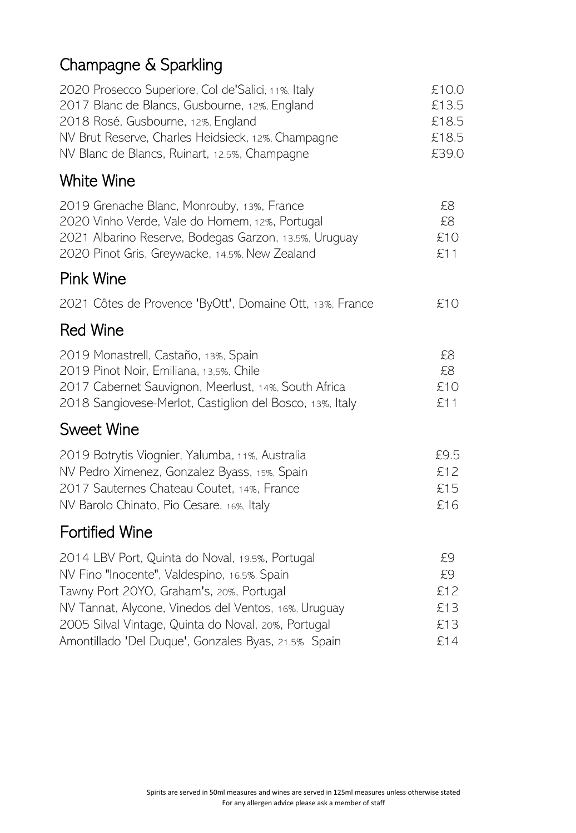# Champagne & Sparkling

| 2020 Prosecco Superiore, Col de'Salici, 11%, Italy<br>2017 Blanc de Blancs, Gusbourne, 12%, England<br>2018 Rosé, Gusbourne, 12%, England<br>NV Brut Reserve, Charles Heidsieck, 12%, Champagne<br>NV Blanc de Blancs, Ruinart, 12.5%, Champagne | £10.0<br>£13.5<br>£18.5<br>£18.5<br>£39.0 |
|--------------------------------------------------------------------------------------------------------------------------------------------------------------------------------------------------------------------------------------------------|-------------------------------------------|
| White Wine                                                                                                                                                                                                                                       |                                           |
| 2019 Grenache Blanc, Monrouby, 13%, France<br>2020 Vinho Verde, Vale do Homem, 12%, Portugal<br>2021 Albarino Reserve, Bodegas Garzon, 13.5%, Uruguay<br>2020 Pinot Gris, Greywacke, 14.5%, New Zealand                                          | £8<br>£8<br>£10<br>£11                    |
| <b>Pink Wine</b>                                                                                                                                                                                                                                 |                                           |
| 2021 Côtes de Provence 'ByOtt', Domaine Ott, 13%, France                                                                                                                                                                                         | £10                                       |
| <b>Red Wine</b>                                                                                                                                                                                                                                  |                                           |
| 2019 Monastrell, Castaño, 13%, Spain<br>2019 Pinot Noir, Emiliana, 13,5%, Chile<br>2017 Cabernet Sauvignon, Meerlust, 14%, South Africa<br>2018 Sangiovese-Merlot, Castiglion del Bosco, 13%, Italy                                              | £8<br>£8<br>£10<br>£11                    |
| <b>Sweet Wine</b>                                                                                                                                                                                                                                |                                           |

| 2019 Botrytis Viognier, Yalumba, 11%, Australia | £9.5 |
|-------------------------------------------------|------|
| NV Pedro Ximenez, Gonzalez Byass, 15%, Spain    | £12  |
| 2017 Sauternes Chateau Coutet, 14%, France      | £15  |
| NV Barolo Chinato, Pio Cesare, 16%, Italy       | £16  |

#### Fortified Wine

| 2014 LBV Port, Quinta do Noval, 19.5%, Portugal      | £9  |
|------------------------------------------------------|-----|
| NV Fino "Inocente", Valdespino, 16.5%, Spain         | £9  |
| Tawny Port 20YO, Graham's, 20%, Portugal             | £12 |
| NV Tannat, Alycone, Vinedos del Ventos, 16%, Uruguay | £13 |
| 2005 Silval Vintage, Quinta do Noval, 20%, Portugal  | £13 |
| Amontillado 'Del Duque', Gonzales Byas, 21,5% Spain  | £14 |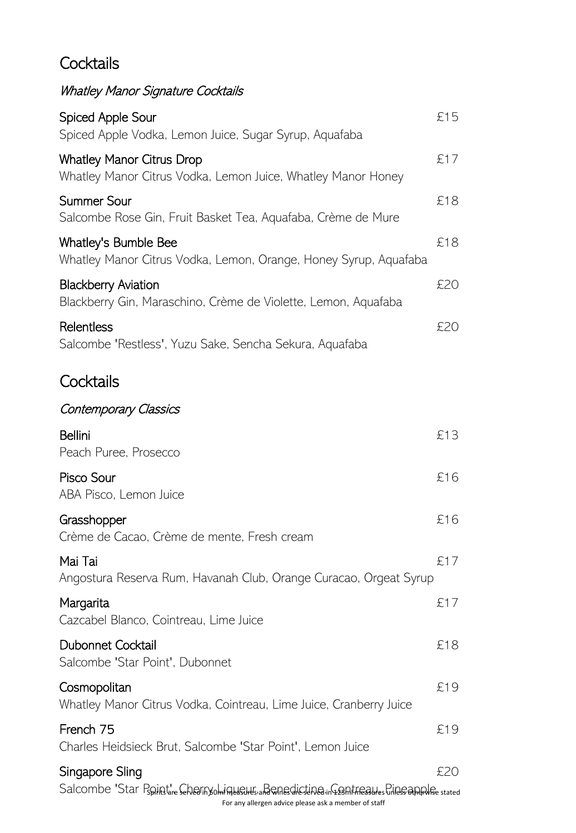## **Cocktails**

# Whatley Manor Signature Cocktails

| Spiced Apple Sour<br>Spiced Apple Vodka, Lemon Juice, Sugar Syrup, Aquafaba                                                                                       | £15 |
|-------------------------------------------------------------------------------------------------------------------------------------------------------------------|-----|
| <b>Whatley Manor Citrus Drop</b><br>Whatley Manor Citrus Vodka, Lemon Juice, Whatley Manor Honey                                                                  | £17 |
| <b>Summer Sour</b><br>Salcombe Rose Gin, Fruit Basket Tea, Aquafaba, Crème de Mure                                                                                | £18 |
| Whatley's Bumble Bee<br>Whatley Manor Citrus Vodka, Lemon, Orange, Honey Syrup, Aquafaba                                                                          | £18 |
| <b>Blackberry Aviation</b><br>Blackberry Gin, Maraschino, Crème de Violette, Lemon, Aquafaba                                                                      | £20 |
| Relentless<br>Salcombe 'Restless', Yuzu Sake, Sencha Sekura, Aquafaba                                                                                             | £20 |
| Cocktails                                                                                                                                                         |     |
| Contemporary Classics                                                                                                                                             |     |
| <b>Bellini</b><br>Peach Puree, Prosecco                                                                                                                           | £13 |
| Pisco Sour<br>ABA Pisco, Lemon Juice                                                                                                                              | £16 |
| Grasshopper<br>Crème de Cacao, Crème de mente, Fresh cream                                                                                                        | £16 |
| Mai Tai<br>Angostura Reserva Rum, Havanah Club, Orange Curacao, Orgeat Syrup                                                                                      | £17 |
| Margarita<br>Cazcabel Blanco, Cointreau, Lime Juice                                                                                                               | £17 |
| Dubonnet Cocktail<br>Salcombe 'Star Point', Dubonnet                                                                                                              | £18 |
| Cosmopolitan<br>Whatley Manor Citrus Vodka, Cointreau, Lime Juice, Cranberry Juice                                                                                | £19 |
| French 75<br>Charles Heidsieck Brut, Salcombe 'Star Point', Lemon Juice                                                                                           | £19 |
| Singapore Sling                                                                                                                                                   | £20 |
| Salcombe 'Star Pspintt're Seherinyohin Helsthes and Chesticatine in Grant freques Chines and pulse stated<br>For any allergen advice please ask a member of staff |     |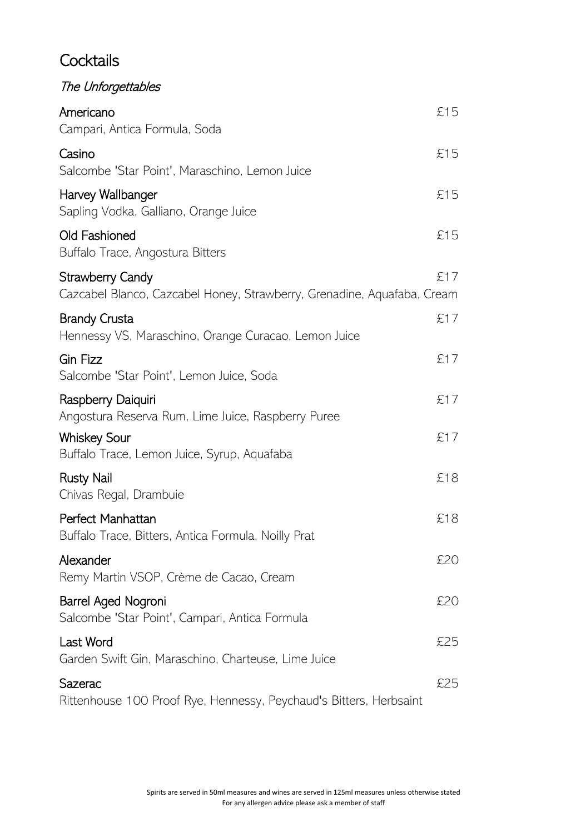#### **Cocktails**

| The Unforgettables                                                                                 |     |
|----------------------------------------------------------------------------------------------------|-----|
| Americano<br>Campari, Antica Formula, Soda                                                         | £15 |
| Casino<br>Salcombe 'Star Point', Maraschino, Lemon Juice                                           | £15 |
| Harvey Wallbanger<br>Sapling Vodka, Galliano, Orange Juice                                         | £15 |
| Old Fashioned<br>Buffalo Trace, Angostura Bitters                                                  | £15 |
| <b>Strawberry Candy</b><br>Cazcabel Blanco, Cazcabel Honey, Strawberry, Grenadine, Aquafaba, Cream | £17 |
| <b>Brandy Crusta</b><br>Hennessy VS, Maraschino, Orange Curacao, Lemon Juice                       | £17 |
| <b>Gin Fizz</b><br>Salcombe 'Star Point', Lemon Juice, Soda                                        | £17 |
| Raspberry Daiquiri<br>Angostura Reserva Rum, Lime Juice, Raspberry Puree                           | £17 |
| <b>Whiskey Sour</b><br>Buffalo Trace, Lemon Juice, Syrup, Aquafaba                                 | £17 |
| <b>Rusty Nail</b><br>Chivas Regal, Drambuie                                                        | £18 |
| Perfect Manhattan<br>Buffalo Trace, Bitters, Antica Formula, Noilly Prat                           | £18 |
| Alexander<br>Remy Martin VSOP, Crème de Cacao, Cream                                               | £20 |
| Barrel Aged Nogroni<br>Salcombe 'Star Point', Campari, Antica Formula                              | £20 |
| Last Word<br>Garden Swift Gin, Maraschino, Charteuse, Lime Juice                                   | £25 |
| Sazerac<br>Rittenhouse 100 Proof Rye, Hennessy, Peychaud's Bitters, Herbsaint                      | £25 |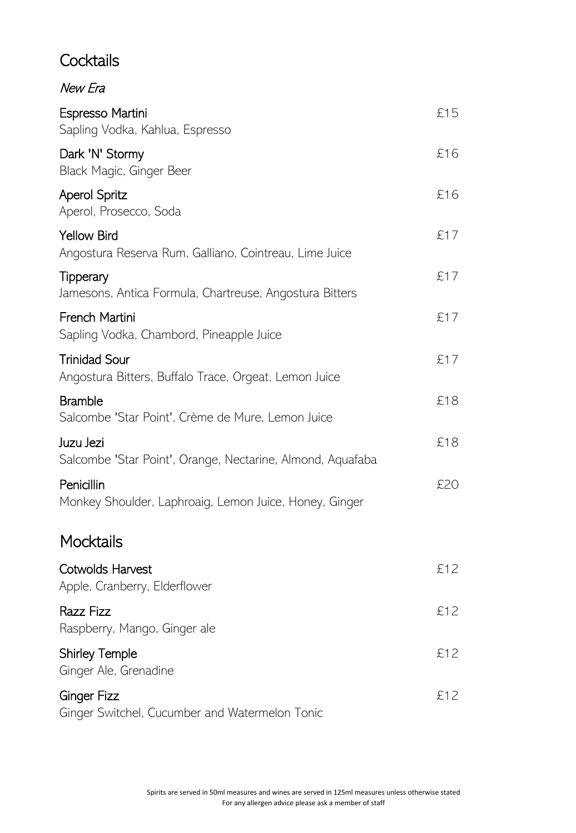#### **Cocktails**

New Era

| Espresso Martini<br>Sapling Vodka, Kahlua, Espresso                           | £15 |
|-------------------------------------------------------------------------------|-----|
| Dark 'N' Stormy<br>Black Magic, Ginger Beer                                   | £16 |
| <b>Aperol Spritz</b><br>Aperol, Prosecco, Soda                                | £16 |
| <b>Yellow Bird</b><br>Angostura Reserva Rum, Galliano, Cointreau, Lime Juice  | £17 |
| Tipperary<br>Jamesons, Antica Formula, Chartreuse, Angostura Bitters          | £17 |
| French Martini<br>Sapling Vodka, Chambord, Pineapple Juice                    | £17 |
| <b>Trinidad Sour</b><br>Angostura Bitters, Buffalo Trace, Orgeat, Lemon Juice | £17 |
| <b>Bramble</b><br>Salcombe 'Star Point', Crème de Mure, Lemon Juice           | £18 |
| Juzu Jezi<br>Salcombe 'Star Point', Orange, Nectarine, Almond, Aquafaba       | £18 |
| Penicillin<br>Monkey Shoulder, Laphroaig, Lemon Juice, Honey, Ginger          | £20 |
| <b>Mocktails</b>                                                              |     |
| Cotwolds Harvest<br>Apple, Cranberry, Elderflower                             | £12 |
| Razz Fizz<br>Raspberry, Mango, Ginger ale                                     | £12 |
| <b>Shirley Temple</b><br>Ginger Ale, Grenadine                                | £12 |
| <b>Ginger Fizz</b><br>Ginger Switchel, Cucumber and Watermelon Tonic          | £12 |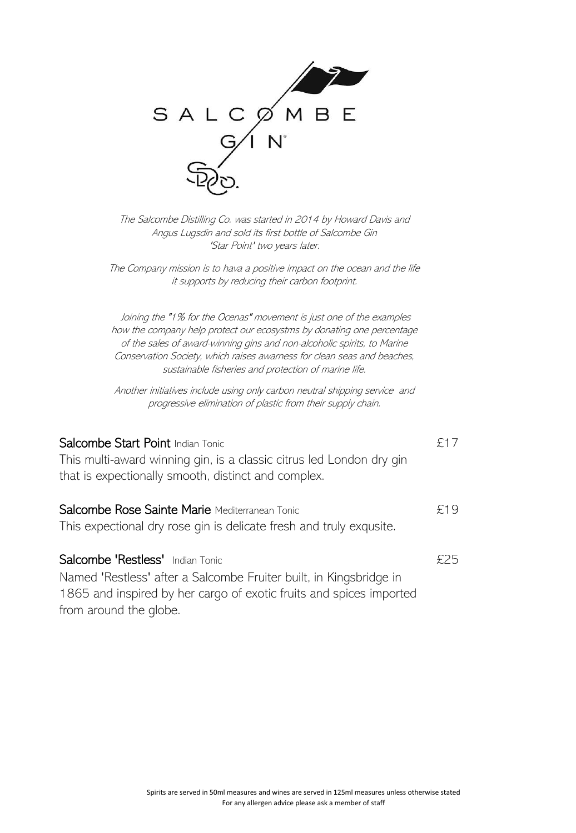| SALCØMBE |             |  |
|----------|-------------|--|
|          | $N^{\circ}$ |  |
|          |             |  |

The Salcombe Distilling Co. was started in 2014 by Howard Davis and Angus Lugsdin and sold its first bottle of Salcombe Gin 'Star Point' two years later.

The Company mission is to hava a positive impact on the ocean and the life it supports by reducing their carbon footprint.

 Joining the "1% for the Ocenas" movement is just one of the examples how the company help protect our ecosystms by donating one percentage of the sales of award-winning gins and non-alcoholic spirits, to Marine Conservation Society, which raises awarness for clean seas and beaches, sustainable fisheries and protection of marine life.

Another initiatives include using only carbon neutral shipping service and progressive elimination of plastic from their supply chain.

| Salcombe Start Point Indian Tonic<br>This multi-award winning gin, is a classic citrus led London dry gin<br>that is expectionally smooth, distinct and complex.              | £17 |
|-------------------------------------------------------------------------------------------------------------------------------------------------------------------------------|-----|
| Salcombe Rose Sainte Marie Mediterranean Tonic<br>This expectional dry rose gin is delicate fresh and truly exqusite.                                                         | £19 |
| Salcombe 'Restless' Indian Tonic<br>Named 'Restless' after a Salcombe Fruiter built, in Kingsbridge in<br>1865 and inspired by her cargo of exotic fruits and spices imported | £25 |

from around the globe.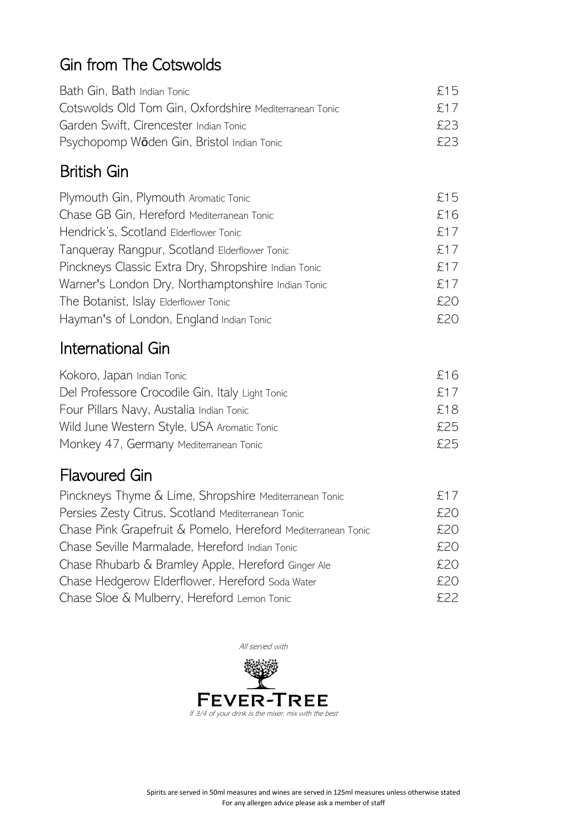# Gin from The Cotswolds

| Bath Gin, Bath Indian Tonic                            | £15 |
|--------------------------------------------------------|-----|
| Cotswolds Old Tom Gin, Oxfordshire Mediterranean Tonic | £17 |
| Garden Swift, Cirencester Indian Tonic                 | 523 |
| Psychopomp Wöden Gin, Bristol Indian Tonic             | 523 |

#### British Gin

| Plymouth Gin, Plymouth Aromatic Tonic                | £15 |
|------------------------------------------------------|-----|
| Chase GB Gin, Hereford Mediterranean Tonic           | £16 |
| Hendrick's, Scotland Elderflower Tonic               | £17 |
| Tanqueray Rangpur, Scotland Elderflower Tonic        | £17 |
| Pinckneys Classic Extra Dry, Shropshire Indian Tonic | £17 |
| Warner's London Dry, Northamptonshire Indian Tonic   | £17 |
| The Botanist, Islay Elderflower Tonic                | £20 |
| Hayman's of London, England Indian Tonic             | £20 |

## International Gin

| Kokoro, Japan Indian Tonic                      | £16 |
|-------------------------------------------------|-----|
| Del Professore Crocodile Gin, Italy Light Tonic | £17 |
| Four Pillars Navy, Austalia Indian Tonic        | £18 |
| Wild June Western Style, USA Aromatic Tonic     | £25 |
| Monkey 47, Germany Mediterranean Tonic          | 525 |

#### Flavoured Gin

| Pinckneys Thyme & Lime, Shropshire Mediterranean Tonic       | £17 |
|--------------------------------------------------------------|-----|
| Persies Zesty Citrus, Scotland Mediterranean Tonic           | £20 |
| Chase Pink Grapefruit & Pomelo, Hereford Mediterranean Tonic | £20 |
| Chase Seville Marmalade, Hereford Indian Tonic               | £20 |
| Chase Rhubarb & Bramley Apple, Hereford Ginger Ale           | £20 |
| Chase Hedgerow Elderflower, Hereford Soda Water              | £20 |
| Chase Sloe & Mulberry, Hereford Lemon Tonic                  | 522 |

All served with

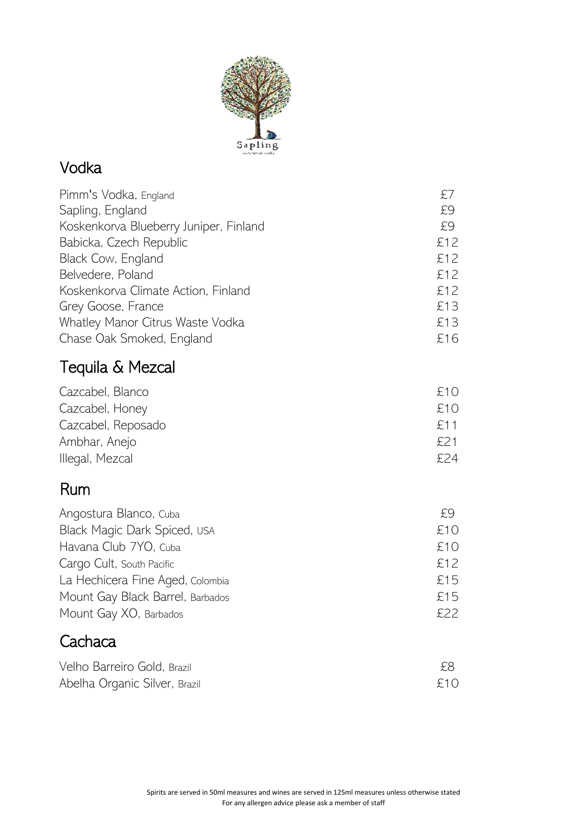

#### Vodka

| Pimm's Vodka, England                  | £7  |
|----------------------------------------|-----|
| Sapling, England                       | £9  |
| Koskenkorva Blueberry Juniper, Finland | £9  |
| Babicka, Czech Republic                | £12 |
| Black Cow, England                     | £12 |
| Belvedere, Poland                      | £12 |
| Koskenkorva Climate Action, Finland    | £12 |
| Grey Goose, France                     | £13 |
| Whatley Manor Citrus Waste Vodka       | £13 |
| Chase Oak Smoked, England              | £16 |
|                                        |     |

# Tequila & Mezcal

| Cazcabel, Blanco   | £10  |
|--------------------|------|
| Cazcabel, Honey    | £10  |
| Cazcabel, Reposado | £11  |
| Ambhar, Anejo      | £21  |
| Illegal, Mezcal    | £24. |

## Rum

| Angostura Blanco, Cuba           | £9  |
|----------------------------------|-----|
| Black Magic Dark Spiced, USA     | £10 |
| Havana Club 7YO, Cuba            | £10 |
| Cargo Cult, South Pacific        | £12 |
| La Hechicera Fine Aged, Colombia | £15 |
| Mount Gay Black Barrel, Barbados | £15 |
| Mount Gay XO, Barbados           | 522 |

## **Cachaca**

| Velho Barreiro Gold, Brazil   | £8  |
|-------------------------------|-----|
| Abelha Organic Silver, Brazil | £10 |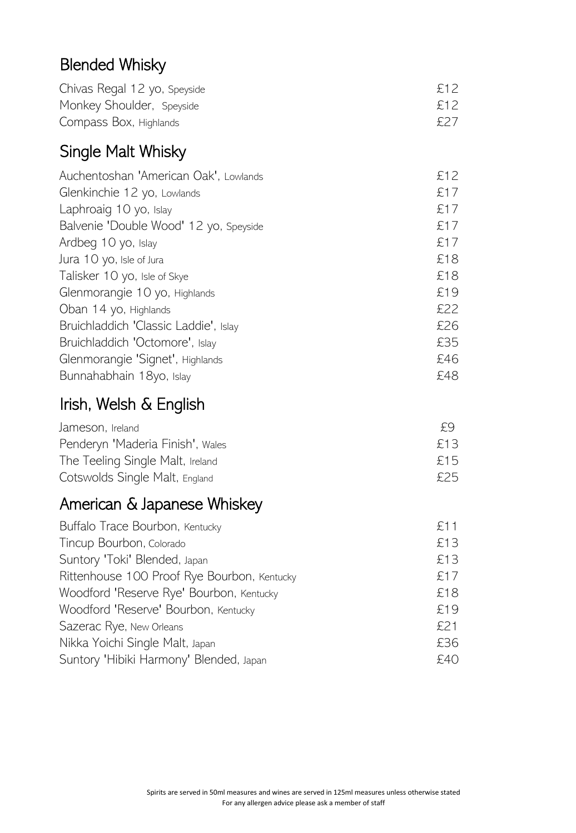# Blended Whisky

| Chivas Regal 12 yo, Speyside | £12 |
|------------------------------|-----|
| Monkey Shoulder, Speyside    | £12 |
| Compass Box, Highlands       | £27 |

#### Single Malt Whisky

| Auchentoshan 'American Oak', Lowlands  | £12 |
|----------------------------------------|-----|
| Glenkinchie 12 yo, Lowlands            | £17 |
| Laphroaig 10 yo, Islay                 | £17 |
| Balvenie 'Double Wood' 12 yo, Speyside | £17 |
| Ardbeg 10 yo, Islay                    | £17 |
| Jura 10 yo, Isle of Jura               | £18 |
| Talisker 10 yo, Isle of Skye           | £18 |
| Glenmorangie 10 yo, Highlands          | £19 |
| Oban 14 yo, Highlands                  | £22 |
| Bruichladdich 'Classic Laddie', Islay  | £26 |
| Bruichladdich 'Octomore', Islay        | £35 |
| Glenmorangie 'Signet', Highlands       | £46 |
| Bunnahabhain 18yo, Islay               | £48 |

# Irish, Welsh & English

| Jameson, Ireland                 | £9  |  |
|----------------------------------|-----|--|
| Penderyn 'Maderia Finish', Wales | £13 |  |
| The Teeling Single Malt, Ireland | £15 |  |
| Cotswolds Single Malt, England   | £25 |  |

# American & Japanese Whiskey

| Buffalo Trace Bourbon, Kentucky             | £11 |
|---------------------------------------------|-----|
| Tincup Bourbon, Colorado                    | £13 |
| Suntory 'Toki' Blended, Japan               | £13 |
| Rittenhouse 100 Proof Rye Bourbon, Kentucky | £17 |
| Woodford 'Reserve Rye' Bourbon, Kentucky    | £18 |
| Woodford 'Reserve' Bourbon, Kentucky        | £19 |
| Sazerac Rye, New Orleans                    | £21 |
| Nikka Yoichi Single Malt, Japan             | £36 |
| Suntory 'Hibiki Harmony' Blended, Japan     | £40 |
|                                             |     |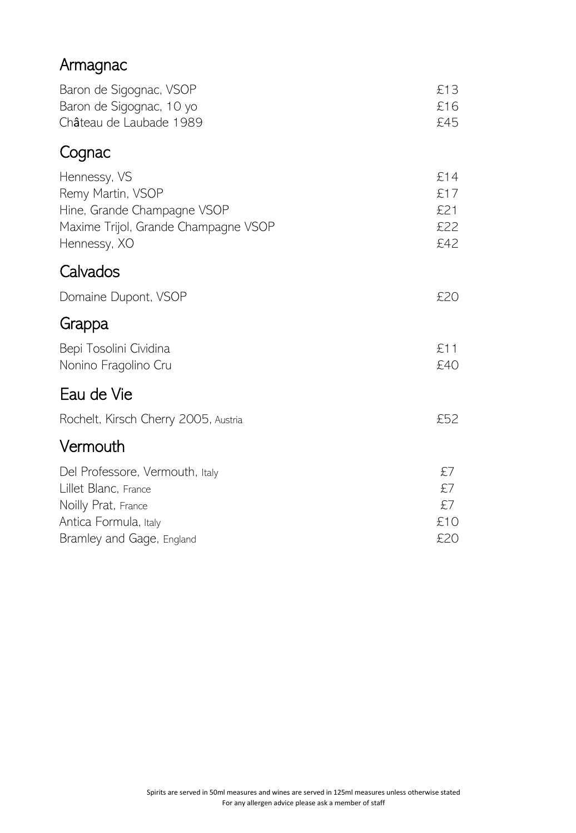# Armagnac

| Baron de Sigognac, VSOP<br>Baron de Sigognac, 10 yo<br>Château de Laubade 1989                                           | £13<br>£16<br>£45               |
|--------------------------------------------------------------------------------------------------------------------------|---------------------------------|
| Cognac                                                                                                                   |                                 |
| Hennessy, VS<br>Remy Martin, VSOP<br>Hine, Grande Champagne VSOP<br>Maxime Trijol, Grande Champagne VSOP<br>Hennessy, XO | £14<br>£17<br>£21<br>£22<br>£42 |
| Calvados                                                                                                                 |                                 |
| Domaine Dupont, VSOP                                                                                                     | £20                             |
| Grappa                                                                                                                   |                                 |
| Bepi Tosolini Cividina<br>Nonino Fragolino Cru                                                                           | £11<br>£40                      |
| Eau de Vie                                                                                                               |                                 |
| Rochelt, Kirsch Cherry 2005, Austria                                                                                     | £52                             |
| Vermouth                                                                                                                 |                                 |
| Del Professore, Vermouth, Italy<br>Lillet Blanc, France<br>Noilly Prat, France<br>Antica Formula, Italy                  | £7<br>£7<br>£7<br>£10<br>£20    |
| Bramley and Gage, England                                                                                                |                                 |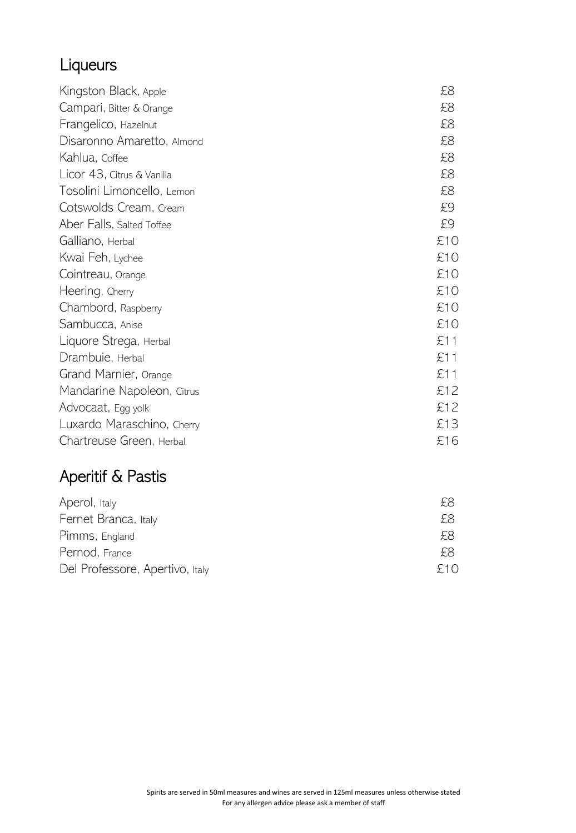# Liqueurs

| Kingston Black, Apple      | £8  |
|----------------------------|-----|
|                            |     |
| Campari, Bitter & Orange   | £8  |
| Frangelico, Hazelnut       | £8  |
| Disaronno Amaretto, Almond | £8  |
| Kahlua, Coffee             | £8  |
| Licor 43, Citrus & Vanilla | £8  |
| Tosolini Limoncello, Lemon | £8  |
| Cotswolds Cream, Cream     | £9  |
| Aber Falls, Salted Toffee  | £9  |
| Galliano, Herbal           | £10 |
| Kwai Feh, Lychee           | £10 |
| Cointreau, Orange          | £10 |
| Heering, Cherry            | £10 |
| Chambord, Raspberry        | £10 |
| Sambucca, Anise            | £10 |
| Liquore Strega, Herbal     | £11 |
| Drambuie, Herbal           | £11 |
| Grand Marnier, Orange      | £11 |
| Mandarine Napoleon, Citrus | £12 |
| Advocaat, Egg yolk         | £12 |
| Luxardo Maraschino, Cherry | £13 |
| Chartreuse Green, Herbal   | £16 |

# Aperitif & Pastis

| Aperol, Italy                   | £8  |  |
|---------------------------------|-----|--|
| Fernet Branca, Italy            | £8  |  |
| Pimms, England                  | £8  |  |
| Pernod, France                  | £8. |  |
| Del Professore, Apertivo, Italy | f10 |  |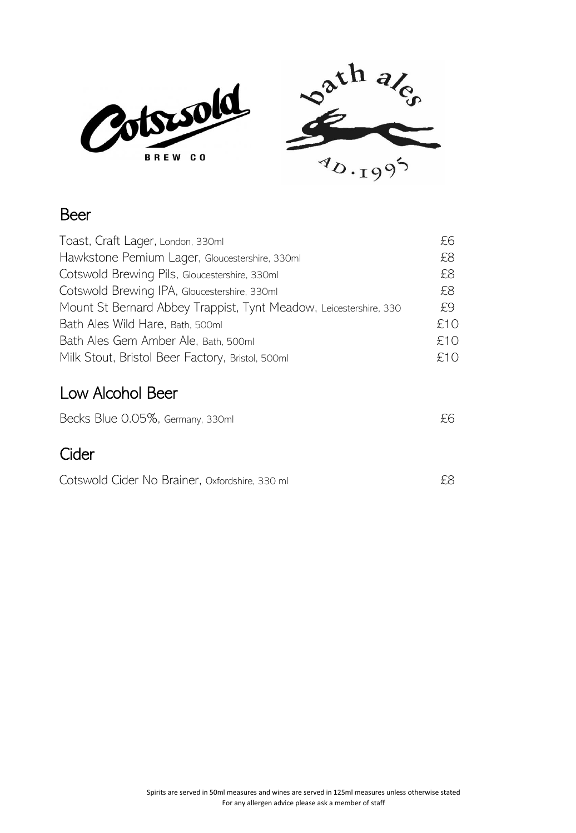

#### Beer

| Toast, Craft Lager, London, 330ml                                 | £6  |
|-------------------------------------------------------------------|-----|
| Hawkstone Pemium Lager, Gloucestershire, 330ml                    | £8  |
| Cotswold Brewing Pils, Gloucestershire, 330ml                     | £8  |
| Cotswold Brewing IPA, Gloucestershire, 330ml                      | £8  |
| Mount St Bernard Abbey Trappist, Tynt Meadow, Leicestershire, 330 | £9. |
| Bath Ales Wild Hare, Bath, 500ml                                  | £10 |
| Bath Ales Gem Amber Ale, Bath, 500ml                              | £10 |
| Milk Stout, Bristol Beer Factory, Bristol, 500ml                  | £10 |
|                                                                   |     |

#### Low Alcohol Beer

| Becks Blue 0.05%, Germany, 330ml               | £6  |
|------------------------------------------------|-----|
| Cider                                          |     |
| Cotswold Cider No Brainer, Oxfordshire, 330 ml | £8. |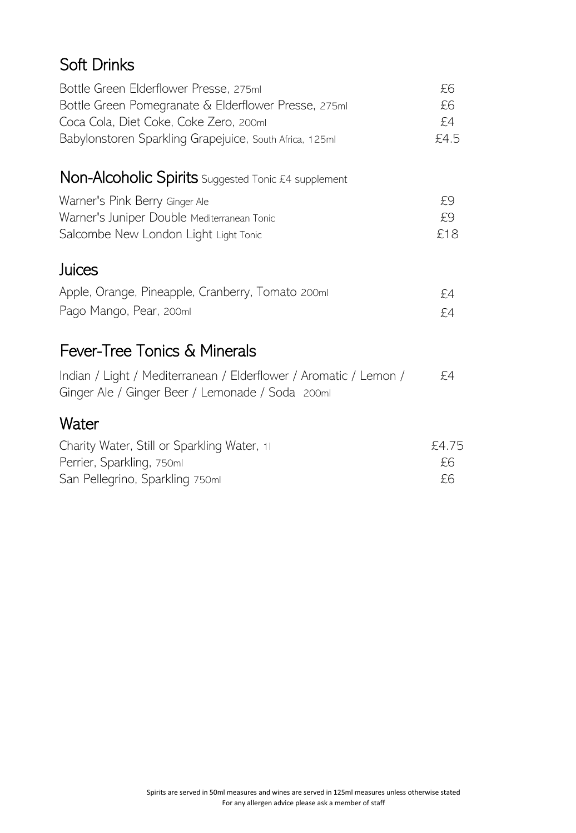## Soft Drinks

| Bottle Green Elderflower Presse, 275ml<br>Bottle Green Pomegranate & Elderflower Presse, 275ml<br>Coca Cola, Diet Coke, Coke Zero, 200ml<br>Babylonstoren Sparkling Grapejuice, South Africa, 125ml | £6<br>£6<br>£4<br>£4.5 |
|-----------------------------------------------------------------------------------------------------------------------------------------------------------------------------------------------------|------------------------|
| <b>Non-Alcoholic Spirits</b> Suggested Tonic £4 supplement                                                                                                                                          |                        |
| Warner's Pink Berry Ginger Ale<br>Warner's Juniper Double Mediterranean Tonic<br>Salcombe New London Light Light Tonic                                                                              | £9<br>£9<br>£18        |
| Juices                                                                                                                                                                                              |                        |
| Apple, Orange, Pineapple, Cranberry, Tomato 200ml<br>Pago Mango, Pear, 200ml                                                                                                                        | £4<br>£4               |
| <b>Fever-Tree Tonics &amp; Minerals</b>                                                                                                                                                             |                        |
| Indian / Light / Mediterranean / Elderflower / Aromatic / Lemon /<br>Ginger Ale / Ginger Beer / Lemonade / Soda 200ml                                                                               | £4                     |
| Water                                                                                                                                                                                               |                        |
| Charity Water, Still or Sparkling Water, 11<br>Perrier, Sparkling, 750ml<br>San Pellegrino, Sparkling 750ml                                                                                         | £4.75<br>£6<br>£6      |